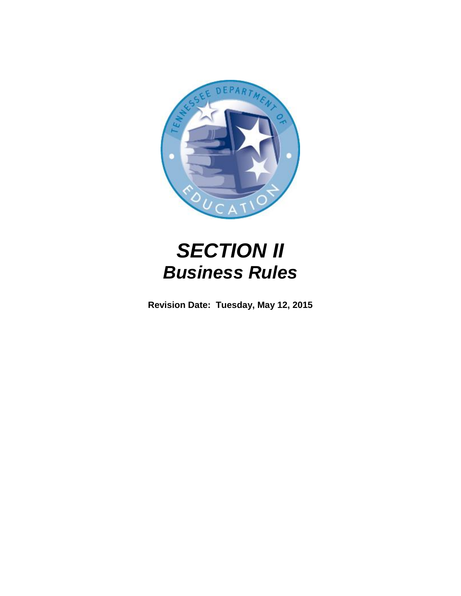

# *SECTION II Business Rules*

**Revision Date: Tuesday, May 12, 2015**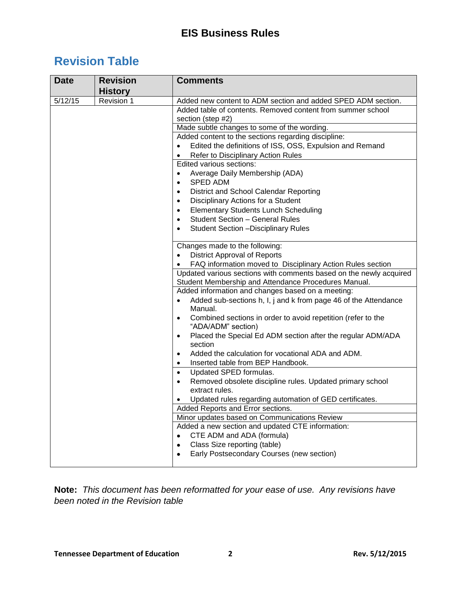# **Revision Table**

| <b>Date</b> | <b>Revision</b> | <b>Comments</b>                                                                                                            |
|-------------|-----------------|----------------------------------------------------------------------------------------------------------------------------|
|             | <b>History</b>  |                                                                                                                            |
| 5/12/15     | Revision 1      | Added new content to ADM section and added SPED ADM section.                                                               |
|             |                 | Added table of contents. Removed content from summer school                                                                |
|             |                 | section (step #2)                                                                                                          |
|             |                 | Made subtle changes to some of the wording.                                                                                |
|             |                 | Added content to the sections regarding discipline:                                                                        |
|             |                 | Edited the definitions of ISS, OSS, Expulsion and Remand<br>$\bullet$                                                      |
|             |                 | Refer to Disciplinary Action Rules<br>$\bullet$                                                                            |
|             |                 | Edited various sections:                                                                                                   |
|             |                 | Average Daily Membership (ADA)<br>٠                                                                                        |
|             |                 | <b>SPED ADM</b><br>$\bullet$                                                                                               |
|             |                 | District and School Calendar Reporting<br>$\bullet$                                                                        |
|             |                 | Disciplinary Actions for a Student<br>$\bullet$                                                                            |
|             |                 | <b>Elementary Students Lunch Scheduling</b><br>$\bullet$                                                                   |
|             |                 | <b>Student Section - General Rules</b><br>$\bullet$                                                                        |
|             |                 | <b>Student Section - Disciplinary Rules</b><br>$\bullet$                                                                   |
|             |                 | Changes made to the following:                                                                                             |
|             |                 | <b>District Approval of Reports</b><br>$\bullet$                                                                           |
|             |                 | FAQ information moved to Disciplinary Action Rules section<br>$\bullet$                                                    |
|             |                 | Updated various sections with comments based on the newly acquired<br>Student Membership and Attendance Procedures Manual. |
|             |                 | Added information and changes based on a meeting:                                                                          |
|             |                 | Added sub-sections h, I, j and k from page 46 of the Attendance<br>$\bullet$                                               |
|             |                 | Manual.                                                                                                                    |
|             |                 | Combined sections in order to avoid repetition (refer to the<br>$\bullet$<br>"ADA/ADM" section)                            |
|             |                 | Placed the Special Ed ADM section after the regular ADM/ADA<br>٠                                                           |
|             |                 | section                                                                                                                    |
|             |                 | Added the calculation for vocational ADA and ADM.<br>٠                                                                     |
|             |                 | Inserted table from BEP Handbook.<br>$\bullet$                                                                             |
|             |                 | Updated SPED formulas.<br>$\bullet$                                                                                        |
|             |                 | Removed obsolete discipline rules. Updated primary school<br>$\bullet$                                                     |
|             |                 | extract rules.                                                                                                             |
|             |                 | Updated rules regarding automation of GED certificates.                                                                    |
|             |                 | Added Reports and Error sections                                                                                           |
|             |                 | Minor updates based on Communications Review                                                                               |
|             |                 | Added a new section and updated CTE information:                                                                           |
|             |                 | CTE ADM and ADA (formula)                                                                                                  |
|             |                 | Class Size reporting (table)<br>٠                                                                                          |
|             |                 | Early Postsecondary Courses (new section)                                                                                  |
|             |                 |                                                                                                                            |

**Note:** *This document has been reformatted for your ease of use. Any revisions have been noted in the Revision table*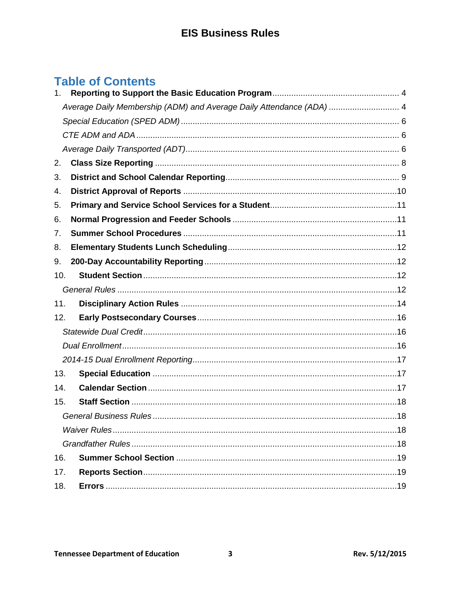# **Table of Contents**

| 1.  |                                                                      |  |
|-----|----------------------------------------------------------------------|--|
|     | Average Daily Membership (ADM) and Average Daily Attendance (ADA)  4 |  |
|     |                                                                      |  |
|     |                                                                      |  |
|     |                                                                      |  |
| 2.  |                                                                      |  |
| 3.  |                                                                      |  |
| 4.  |                                                                      |  |
| 5.  |                                                                      |  |
| 6.  |                                                                      |  |
| 7.  |                                                                      |  |
| 8.  |                                                                      |  |
| 9.  |                                                                      |  |
| 10. |                                                                      |  |
|     |                                                                      |  |
| 11. |                                                                      |  |
| 12. |                                                                      |  |
|     |                                                                      |  |
|     |                                                                      |  |
|     |                                                                      |  |
| 13. |                                                                      |  |
| 14. |                                                                      |  |
| 15. |                                                                      |  |
|     |                                                                      |  |
|     |                                                                      |  |
|     |                                                                      |  |
| 16. |                                                                      |  |
| 17. |                                                                      |  |
| 18. |                                                                      |  |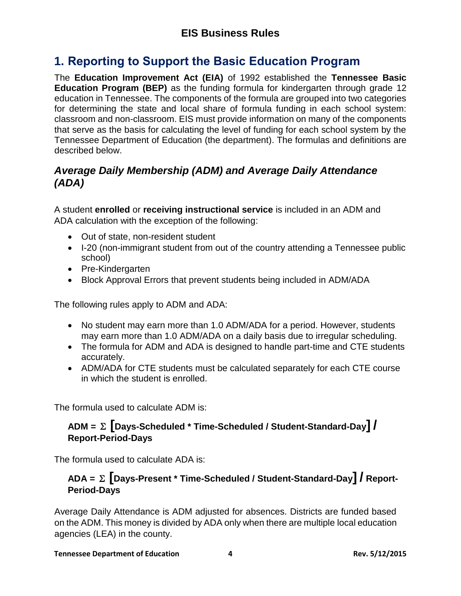# <span id="page-3-0"></span>**1. Reporting to Support the Basic Education Program**

The **Education Improvement Act (EIA)** of 1992 established the **Tennessee Basic Education Program (BEP)** as the funding formula for kindergarten through grade 12 education in Tennessee. The components of the formula are grouped into two categories for determining the state and local share of formula funding in each school system: classroom and non-classroom. EIS must provide information on many of the components that serve as the basis for calculating the level of funding for each school system by the Tennessee Department of Education (the department). The formulas and definitions are described below.

#### <span id="page-3-1"></span>*Average Daily Membership (ADM) and Average Daily Attendance (ADA)*

A student **enrolled** or **receiving instructional service** is included in an ADM and ADA calculation with the exception of the following:

- Out of state, non-resident student
- I-20 (non-immigrant student from out of the country attending a Tennessee public school)
- Pre-Kindergarten
- Block Approval Errors that prevent students being included in ADM/ADA

The following rules apply to ADM and ADA:

- No student may earn more than 1.0 ADM/ADA for a period. However, students may earn more than 1.0 ADM/ADA on a daily basis due to irregular scheduling.
- The formula for ADM and ADA is designed to handle part-time and CTE students accurately.
- ADM/ADA for CTE students must be calculated separately for each CTE course in which the student is enrolled.

The formula used to calculate ADM is:

#### **ADM =** <sup>Σ</sup> **[Days-Scheduled \* Time-Scheduled / Student-Standard-Day] / Report-Period-Days**

The formula used to calculate ADA is:

#### **ADA =** <sup>Σ</sup> **[Days-Present \* Time-Scheduled / Student-Standard-Day] / Report-Period-Days**

Average Daily Attendance is ADM adjusted for absences. Districts are funded based on the ADM. This money is divided by ADA only when there are multiple local education agencies (LEA) in the county.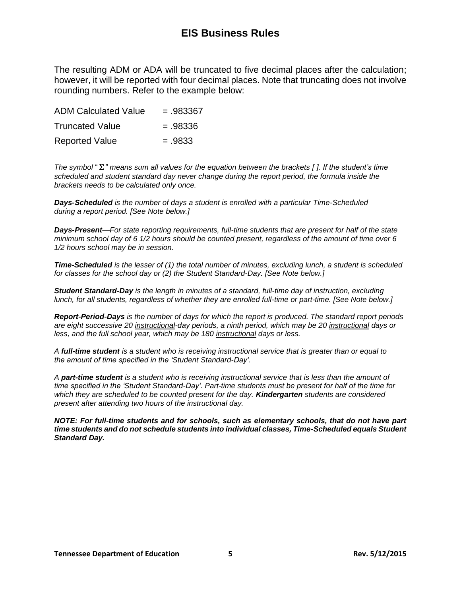The resulting ADM or ADA will be truncated to five decimal places after the calculation; however, it will be reported with four decimal places. Note that truncating does not involve rounding numbers. Refer to the example below:

| <b>ADM Calculated Value</b> | $=.983367$ |
|-----------------------------|------------|
| <b>Truncated Value</b>      | $=.98336$  |
| <b>Reported Value</b>       | $=.9833$   |

*The symbol* "Σ" *means sum all values for the equation between the brackets [ ]. If the student's time scheduled and student standard day never change during the report period, the formula inside the brackets needs to be calculated only once.*

*Days-Scheduled is the number of days a student is enrolled with a particular Time-Scheduled during a report period. [See Note below.]*

*Days-Present—For state reporting requirements, full-time students that are present for half of the state minimum school day of 6 1/2 hours should be counted present, regardless of the amount of time over 6 1/2 hours school may be in session.* 

*Time-Scheduled is the lesser of (1) the total number of minutes, excluding lunch, a student is scheduled for classes for the school day or (2) the Student Standard-Day. [See Note below.]*

*Student Standard-Day is the length in minutes of a standard, full-time day of instruction, excluding lunch, for all students, regardless of whether they are enrolled full-time or part-time. [See Note below.]*

*Report-Period-Days is the number of days for which the report is produced. The standard report periods are eight successive 20 instructional-day periods, a ninth period, which may be 20 instructional days or less, and the full school year, which may be 180 instructional days or less.*

*A full-time student is a student who is receiving instructional service that is greater than or equal to the amount of time specified in the 'Student Standard-Day'.*

*A part-time student is a student who is receiving instructional service that is less than the amount of time specified in the 'Student Standard-Day'. Part-time students must be present for half of the time for which they are scheduled to be counted present for the day. Kindergarten students are considered present after attending two hours of the instructional day.*

*NOTE: For full-time students and for schools, such as elementary schools, that do not have part time students and do not schedule students into individual classes, Time-Scheduled equals Student Standard Day.*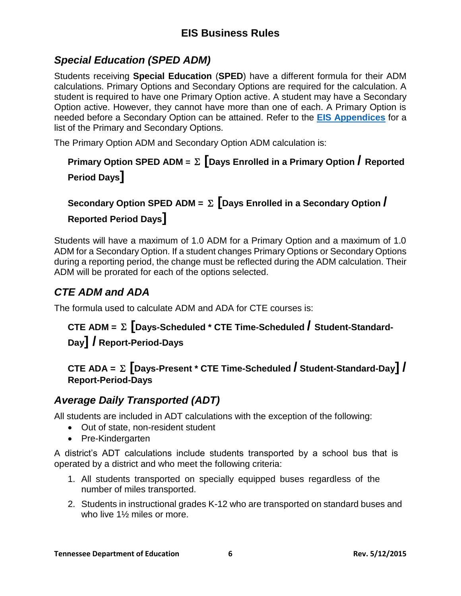### <span id="page-5-0"></span>*Special Education (SPED ADM)*

Students receiving **Special Education** (**SPED**) have a different formula for their ADM calculations. Primary Options and Secondary Options are required for the calculation. A student is required to have one Primary Option active. A student may have a Secondary Option active. However, they cannot have more than one of each. A Primary Option is needed before a Secondary Option can be attained. Refer to the **[EIS Appendices](http://tennessee.gov/education/districts/docs/eis_appendices.pdf)** for a list of the Primary and Secondary Options.

The Primary Option ADM and Secondary Option ADM calculation is:

# **Primary Option SPED ADM <sup>=</sup>**<sup>Σ</sup> **[Days Enrolled in a Primary Option / Reported Period Days]**

# **Secondary Option SPED ADM =** <sup>Σ</sup> **[Days Enrolled in a Secondary Option / Reported Period Days]**

Students will have a maximum of 1.0 ADM for a Primary Option and a maximum of 1.0 ADM for a Secondary Option. If a student changes Primary Options or Secondary Options during a reporting period, the change must be reflected during the ADM calculation. Their ADM will be prorated for each of the options selected.

### <span id="page-5-1"></span>*CTE ADM and ADA*

The formula used to calculate ADM and ADA for CTE courses is:

# **CTE ADM =** <sup>Σ</sup> **[Days-Scheduled \* CTE Time-Scheduled / Student-Standard-Day] / Report-Period-Days**

#### **CTE ADA =** <sup>Σ</sup> **[Days-Present \* CTE Time-Scheduled / Student-Standard-Day] / Report-Period-Days**

### <span id="page-5-2"></span>*Average Daily Transported (ADT)*

All students are included in ADT calculations with the exception of the following:

- Out of state, non-resident student
- Pre-Kindergarten

A district's ADT calculations include students transported by a school bus that is operated by a district and who meet the following criteria:

- 1. All students transported on specially equipped buses regardless of the number of miles transported.
- 2. Students in instructional grades K-12 who are transported on standard buses and who live 1½ miles or more.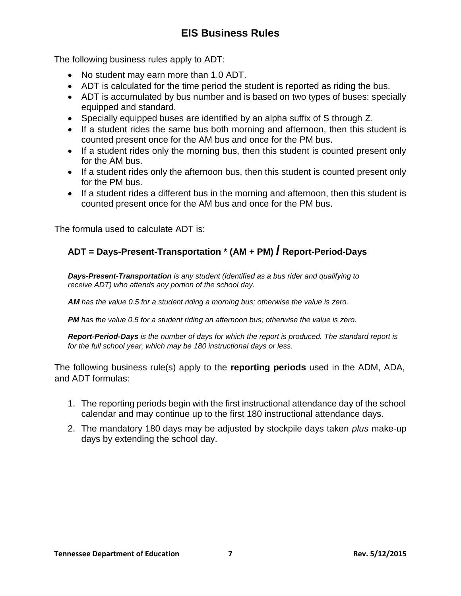The following business rules apply to ADT:

- No student may earn more than 1.0 ADT.
- ADT is calculated for the time period the student is reported as riding the bus.
- ADT is accumulated by bus number and is based on two types of buses: specially equipped and standard.
- Specially equipped buses are identified by an alpha suffix of S through Z.
- If a student rides the same bus both morning and afternoon, then this student is counted present once for the AM bus and once for the PM bus.
- If a student rides only the morning bus, then this student is counted present only for the AM bus.
- If a student rides only the afternoon bus, then this student is counted present only for the PM bus.
- If a student rides a different bus in the morning and afternoon, then this student is counted present once for the AM bus and once for the PM bus.

The formula used to calculate ADT is:

### **ADT = Days-Present-Transportation \* (AM + PM) / Report-Period-Days**

*Days-Present-Transportation is any student (identified as a bus rider and qualifying to receive ADT) who attends any portion of the school day.*

*AM has the value 0.5 for a student riding a morning bus; otherwise the value is zero.*

*PM has the value 0.5 for a student riding an afternoon bus; otherwise the value is zero.*

*Report-Period-Days is the number of days for which the report is produced. The standard report is for the full school year, which may be 180 instructional days or less.*

The following business rule(s) apply to the **reporting periods** used in the ADM, ADA, and ADT formulas:

- 1. The reporting periods begin with the first instructional attendance day of the school calendar and may continue up to the first 180 instructional attendance days.
- 2. The mandatory 180 days may be adjusted by stockpile days taken *plus* make-up days by extending the school day.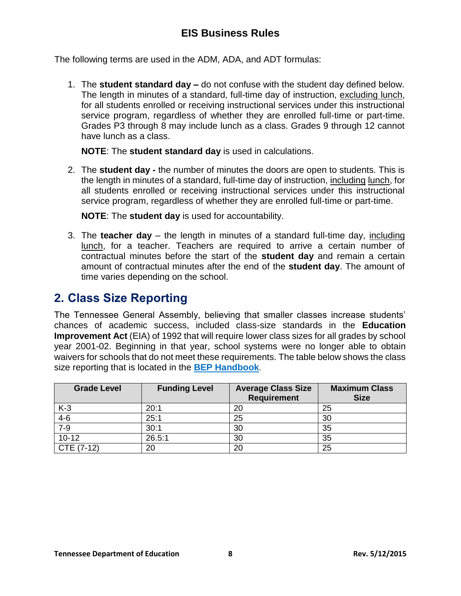The following terms are used in the ADM, ADA, and ADT formulas:

1. The **student standard day –** do not confuse with the student day defined below. The length in minutes of a standard, full-time day of instruction, excluding lunch, for all students enrolled or receiving instructional services under this instructional service program, regardless of whether they are enrolled full-time or part-time. Grades P3 through 8 may include lunch as a class. Grades 9 through 12 cannot have lunch as a class.

**NOTE**: The **student standard day** is used in calculations.

2. The **student day -** the number of minutes the doors are open to students. This is the length in minutes of a standard, full-time day of instruction, including lunch, for all students enrolled or receiving instructional services under this instructional service program, regardless of whether they are enrolled full-time or part-time.

**NOTE**: The **student day** is used for accountability.

3. The **teacher day** – the length in minutes of a standard full-time day, including lunch, for a teacher. Teachers are required to arrive a certain number of contractual minutes before the start of the **student day** and remain a certain amount of contractual minutes after the end of the **student day**. The amount of time varies depending on the school.

### <span id="page-7-0"></span>**2. Class Size Reporting**

The Tennessee General Assembly, believing that smaller classes increase students' chances of academic success, included class-size standards in the **Education Improvement Act** (EIA) of 1992 that will require lower class sizes for all grades by school year 2001-02. Beginning in that year, school systems were no longer able to obtain waivers for schools that do not meet these requirements. The table below shows the class size reporting that is located in the **[BEP Handbook](http://www.tn.gov/sbe/BEP/BEPHandbook_revised_April_2014.pdf)**.

| <b>Grade Level</b> | <b>Funding Level</b> | <b>Average Class Size</b><br><b>Requirement</b> | <b>Maximum Class</b><br><b>Size</b> |
|--------------------|----------------------|-------------------------------------------------|-------------------------------------|
| $K-3$              | 20:1                 | 20                                              | 25                                  |
| $4-6$              | 25:1                 | 25                                              | 30                                  |
| $7-9$              | 30:1                 | 30                                              | 35                                  |
| $10 - 12$          | 26.5:1               | 30                                              | 35                                  |
| CTE (7-12)         | 20                   | 20                                              | 25                                  |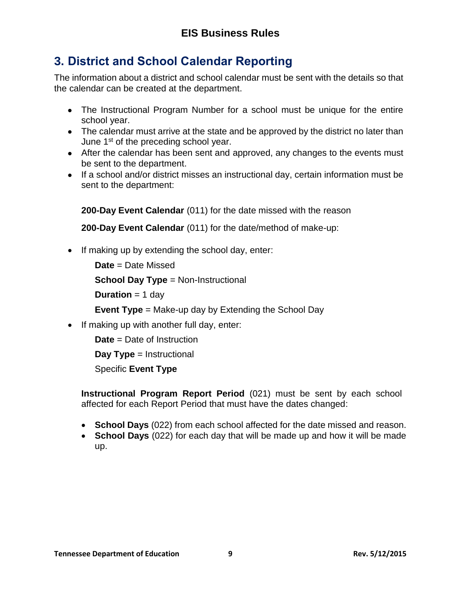# <span id="page-8-0"></span>**3. District and School Calendar Reporting**

The information about a district and school calendar must be sent with the details so that the calendar can be created at the department.

- The Instructional Program Number for a school must be unique for the entire school year.
- The calendar must arrive at the state and be approved by the district no later than June 1<sup>st</sup> of the preceding school year.
- After the calendar has been sent and approved, any changes to the events must be sent to the department.
- If a school and/or district misses an instructional day, certain information must be sent to the department:

**200-Day Event Calendar** (011) for the date missed with the reason

**200-Day Event Calendar** (011) for the date/method of make-up:

 $\bullet$  If making up by extending the school day, enter:

**Date** = Date Missed

**School Day Type** = Non-Instructional

**Duration** = 1 day

**Event Type** = Make-up day by Extending the School Day

• If making up with another full day, enter:

**Date** = Date of Instruction

**Day Type** = Instructional

Specific **Event Type**

**Instructional Program Report Period** (021) must be sent by each school affected for each Report Period that must have the dates changed:

- **School Days** (022) from each school affected for the date missed and reason.
- **School Days** (022) for each day that will be made up and how it will be made up.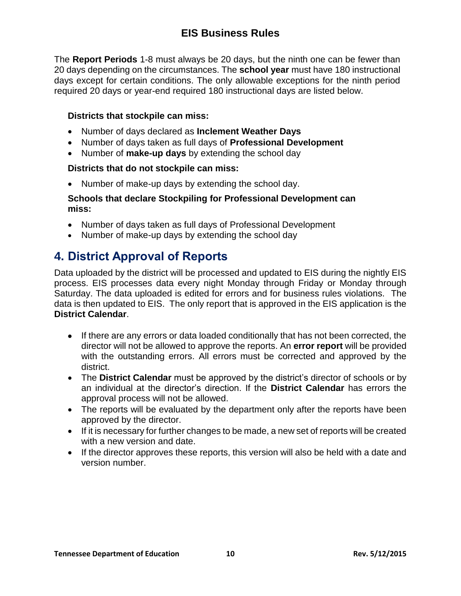The **Report Periods** 1-8 must always be 20 days, but the ninth one can be fewer than 20 days depending on the circumstances. The **school year** must have 180 instructional days except for certain conditions. The only allowable exceptions for the ninth period required 20 days or year-end required 180 instructional days are listed below.

#### **Districts that stockpile can miss:**

- Number of days declared as **Inclement Weather Days**
- Number of days taken as full days of **Professional Development**
- Number of **make-up days** by extending the school day

#### **Districts that do not stockpile can miss:**

• Number of make-up days by extending the school day.

#### **Schools that declare Stockpiling for Professional Development can miss:**

- Number of days taken as full days of Professional Development
- Number of make-up days by extending the school day

### <span id="page-9-0"></span>**4. District Approval of Reports**

Data uploaded by the district will be processed and updated to EIS during the nightly EIS process. EIS processes data every night Monday through Friday or Monday through Saturday. The data uploaded is edited for errors and for business rules violations. The data is then updated to EIS. The only report that is approved in the EIS application is the **District Calendar**.

- If there are any errors or data loaded conditionally that has not been corrected, the director will not be allowed to approve the reports. An **error report** will be provided with the outstanding errors. All errors must be corrected and approved by the district.
- The **District Calendar** must be approved by the district's director of schools or by an individual at the director's direction. If the **District Calendar** has errors the approval process will not be allowed.
- The reports will be evaluated by the department only after the reports have been approved by the director.
- If it is necessary for further changes to be made, a new set of reports will be created with a new version and date.
- If the director approves these reports, this version will also be held with a date and version number.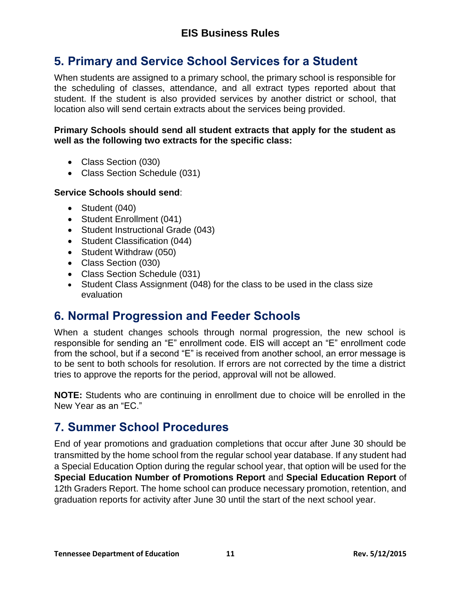# <span id="page-10-0"></span>**5. Primary and Service School Services for a Student**

When students are assigned to a primary school, the primary school is responsible for the scheduling of classes, attendance, and all extract types reported about that student. If the student is also provided services by another district or school, that location also will send certain extracts about the services being provided.

#### **Primary Schools should send all student extracts that apply for the student as well as the following two extracts for the specific class:**

- Class Section (030)
- Class Section Schedule (031)

#### **Service Schools should send**:

- Student (040)
- Student Enrollment (041)
- Student Instructional Grade (043)
- Student Classification (044)
- Student Withdraw (050)
- Class Section (030)
- Class Section Schedule (031)
- Student Class Assignment (048) for the class to be used in the class size evaluation

### <span id="page-10-1"></span>**6. Normal Progression and Feeder Schools**

When a student changes schools through normal progression, the new school is responsible for sending an "E" enrollment code. EIS will accept an "E" enrollment code from the school, but if a second "E" is received from another school, an error message is to be sent to both schools for resolution. If errors are not corrected by the time a district tries to approve the reports for the period, approval will not be allowed.

**NOTE:** Students who are continuing in enrollment due to choice will be enrolled in the New Year as an "EC."

# <span id="page-10-2"></span>**7. Summer School Procedures**

End of year promotions and graduation completions that occur after June 30 should be transmitted by the home school from the regular school year database. If any student had a Special Education Option during the regular school year, that option will be used for the **Special Education Number of Promotions Report** and **Special Education Report** of 12th Graders Report. The home school can produce necessary promotion, retention, and graduation reports for activity after June 30 until the start of the next school year.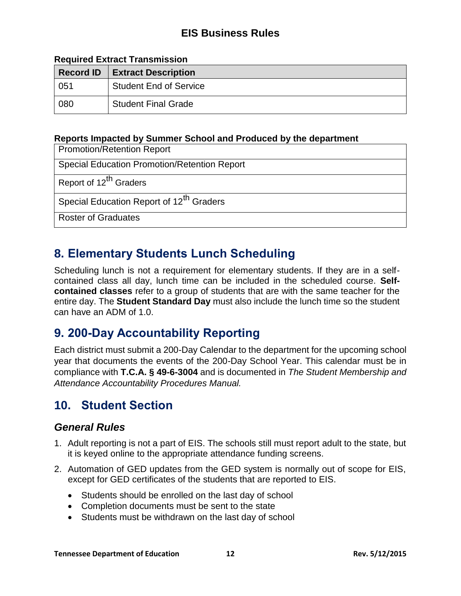#### **Required Extract Transmission**

| <b>Record ID</b> | <b>Extract Description</b>    |  |
|------------------|-------------------------------|--|
| 051              | <b>Student End of Service</b> |  |
| 080              | <b>Student Final Grade</b>    |  |

#### **Reports Impacted by Summer School and Produced by the department**

| <b>Promotion/Retention Report</b>                    |  |
|------------------------------------------------------|--|
| <b>Special Education Promotion/Retention Report</b>  |  |
| Report of 12 <sup>th</sup> Graders                   |  |
| Special Education Report of 12 <sup>th</sup> Graders |  |
| <b>Roster of Graduates</b>                           |  |

### <span id="page-11-0"></span>**8. Elementary Students Lunch Scheduling**

Scheduling lunch is not a requirement for elementary students. If they are in a selfcontained class all day, lunch time can be included in the scheduled course. **Selfcontained classes** refer to a group of students that are with the same teacher for the entire day. The **Student Standard Day** must also include the lunch time so the student can have an ADM of 1.0.

### <span id="page-11-1"></span>**9. 200-Day Accountability Reporting**

Each district must submit a 200-Day Calendar to the department for the upcoming school year that documents the events of the 200-Day School Year. This calendar must be in compliance with **T.C.A. § 49-6-3004** and is documented in *The Student Membership and Attendance Accountability Procedures Manual.*

### <span id="page-11-2"></span>**10. Student Section**

#### <span id="page-11-3"></span>*General Rules*

- 1. Adult reporting is not a part of EIS. The schools still must report adult to the state, but it is keyed online to the appropriate attendance funding screens.
- 2. Automation of GED updates from the GED system is normally out of scope for EIS, except for GED certificates of the students that are reported to EIS.
	- Students should be enrolled on the last day of school
	- Completion documents must be sent to the state
	- Students must be withdrawn on the last day of school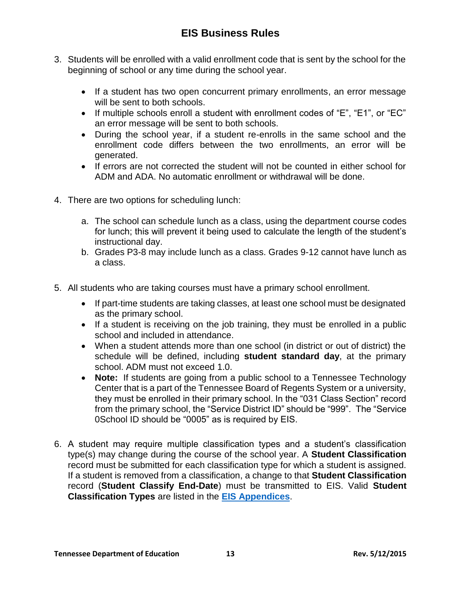- 3. Students will be enrolled with a valid enrollment code that is sent by the school for the beginning of school or any time during the school year.
	- If a student has two open concurrent primary enrollments, an error message will be sent to both schools.
	- If multiple schools enroll a student with enrollment codes of "E", "E1", or "EC" an error message will be sent to both schools.
	- During the school year, if a student re-enrolls in the same school and the enrollment code differs between the two enrollments, an error will be generated.
	- If errors are not corrected the student will not be counted in either school for ADM and ADA. No automatic enrollment or withdrawal will be done.
- 4. There are two options for scheduling lunch:
	- a. The school can schedule lunch as a class, using the department course codes for lunch; this will prevent it being used to calculate the length of the student's instructional day.
	- b. Grades P3-8 may include lunch as a class. Grades 9-12 cannot have lunch as a class.
- 5. All students who are taking courses must have a primary school enrollment.
	- If part-time students are taking classes, at least one school must be designated as the primary school.
	- If a student is receiving on the job training, they must be enrolled in a public school and included in attendance.
	- When a student attends more than one school (in district or out of district) the schedule will be defined, including **student standard day**, at the primary school. ADM must not exceed 1.0.
	- **Note:** If students are going from a public school to a Tennessee Technology Center that is a part of the Tennessee Board of Regents System or a university, they must be enrolled in their primary school. In the "031 Class Section" record from the primary school, the "Service District ID" should be "999". The "Service 0School ID should be "0005" as is required by EIS.
- 6. A student may require multiple classification types and a student's classification type(s) may change during the course of the school year. A **Student Classification** record must be submitted for each classification type for which a student is assigned. If a student is removed from a classification, a change to that **Student Classification** record (**Student Classify End-Date**) must be transmitted to EIS. Valid **Student Classification Types** are listed in the **[EIS Appendices](http://tennessee.gov/education/districts/docs/eis_appendices.pdf)**.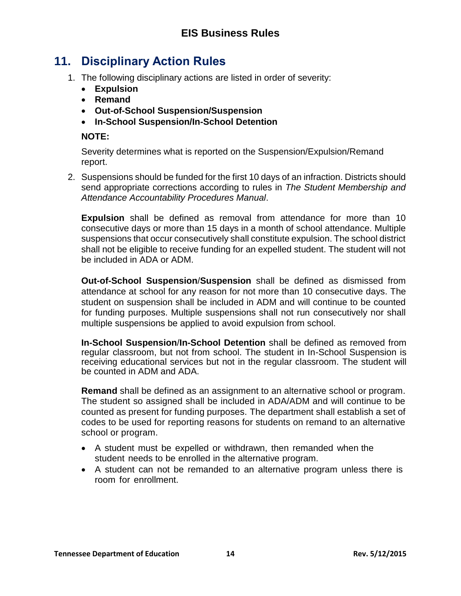# <span id="page-13-0"></span>**11. Disciplinary Action Rules**

- 1. The following disciplinary actions are listed in order of severity:
	- **Expulsion**
	- **Remand**
	- **Out-of-School Suspension/Suspension**
	- **In-School Suspension/In-School Detention**

#### **NOTE:**

Severity determines what is reported on the Suspension/Expulsion/Remand report.

2. Suspensions should be funded for the first 10 days of an infraction. Districts should send appropriate corrections according to rules in *The Student Membership and Attendance Accountability Procedures Manual*.

**Expulsion** shall be defined as removal from attendance for more than 10 consecutive days or more than 15 days in a month of school attendance. Multiple suspensions that occur consecutively shall constitute expulsion. The school district shall not be eligible to receive funding for an expelled student. The student will not be included in ADA or ADM.

**Out-of-School Suspension**/**Suspension** shall be defined as dismissed from attendance at school for any reason for not more than 10 consecutive days. The student on suspension shall be included in ADM and will continue to be counted for funding purposes. Multiple suspensions shall not run consecutively nor shall multiple suspensions be applied to avoid expulsion from school.

**In-School Suspension**/**In-School Detention** shall be defined as removed from regular classroom, but not from school. The student in In-School Suspension is receiving educational services but not in the regular classroom. The student will be counted in ADM and ADA.

**Remand** shall be defined as an assignment to an alternative school or program. The student so assigned shall be included in ADA/ADM and will continue to be counted as present for funding purposes. The department shall establish a set of codes to be used for reporting reasons for students on remand to an alternative school or program.

- A student must be expelled or withdrawn, then remanded when the student needs to be enrolled in the alternative program.
- A student can not be remanded to an alternative program unless there is room for enrollment.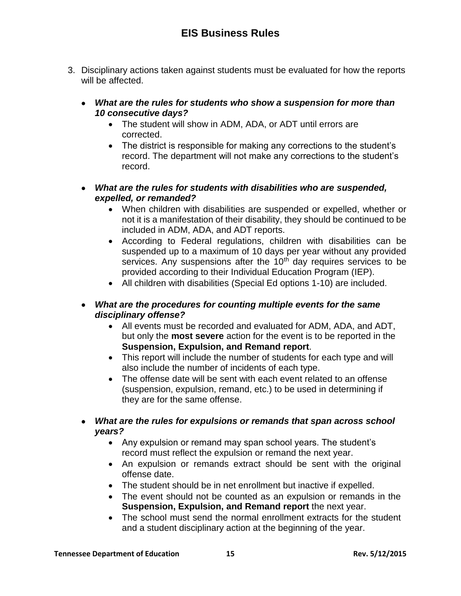- 3. Disciplinary actions taken against students must be evaluated for how the reports will be affected.
	- *What are the rules for students who show a suspension for more than 10 consecutive days?*
		- The student will show in ADM, ADA, or ADT until errors are corrected.
		- The district is responsible for making any corrections to the student's record. The department will not make any corrections to the student's record.
	- *What are the rules for students with disabilities who are suspended, expelled, or remanded?*
		- When children with disabilities are suspended or expelled, whether or not it is a manifestation of their disability, they should be continued to be included in ADM, ADA, and ADT reports.
		- According to Federal regulations, children with disabilities can be suspended up to a maximum of 10 days per year without any provided services. Any suspensions after the 10<sup>th</sup> day requires services to be provided according to their Individual Education Program (IEP).
		- All children with disabilities (Special Ed options 1-10) are included.
	- *What are the procedures for counting multiple events for the same disciplinary offense?*
		- All events must be recorded and evaluated for ADM, ADA, and ADT, but only the **most severe** action for the event is to be reported in the **Suspension, Expulsion, and Remand report**.
		- This report will include the number of students for each type and will also include the number of incidents of each type.
		- The offense date will be sent with each event related to an offense (suspension, expulsion, remand, etc.) to be used in determining if they are for the same offense.
	- *What are the rules for expulsions or remands that span across school years?*
		- Any expulsion or remand may span school years. The student's record must reflect the expulsion or remand the next year.
		- An expulsion or remands extract should be sent with the original offense date.
		- The student should be in net enrollment but inactive if expelled.
		- The event should not be counted as an expulsion or remands in the **Suspension, Expulsion, and Remand report** the next year.
		- The school must send the normal enrollment extracts for the student and a student disciplinary action at the beginning of the year.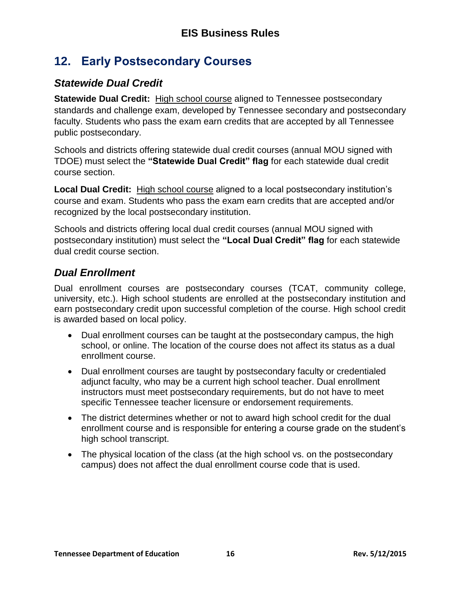# <span id="page-15-0"></span>**12. Early Postsecondary Courses**

#### <span id="page-15-1"></span>*Statewide Dual Credit*

**Statewide Dual Credit:** High school course aligned to Tennessee postsecondary standards and challenge exam, developed by Tennessee secondary and postsecondary faculty. Students who pass the exam earn credits that are accepted by all Tennessee public postsecondary.

Schools and districts offering statewide dual credit courses (annual MOU signed with TDOE) must select the **"Statewide Dual Credit" flag** for each statewide dual credit course section.

**Local Dual Credit:** High school course aligned to a local postsecondary institution's course and exam. Students who pass the exam earn credits that are accepted and/or recognized by the local postsecondary institution.

Schools and districts offering local dual credit courses (annual MOU signed with postsecondary institution) must select the **"Local Dual Credit" flag** for each statewide dual credit course section.

#### <span id="page-15-2"></span>*Dual Enrollment*

Dual enrollment courses are postsecondary courses (TCAT, community college, university, etc.). High school students are enrolled at the postsecondary institution and earn postsecondary credit upon successful completion of the course. High school credit is awarded based on local policy.

- Dual enrollment courses can be taught at the postsecondary campus, the high school, or online. The location of the course does not affect its status as a dual enrollment course.
- Dual enrollment courses are taught by postsecondary faculty or credentialed adjunct faculty, who may be a current high school teacher. Dual enrollment instructors must meet postsecondary requirements, but do not have to meet specific Tennessee teacher licensure or endorsement requirements.
- The district determines whether or not to award high school credit for the dual enrollment course and is responsible for entering a course grade on the student's high school transcript.
- The physical location of the class (at the high school vs. on the postsecondary campus) does not affect the dual enrollment course code that is used.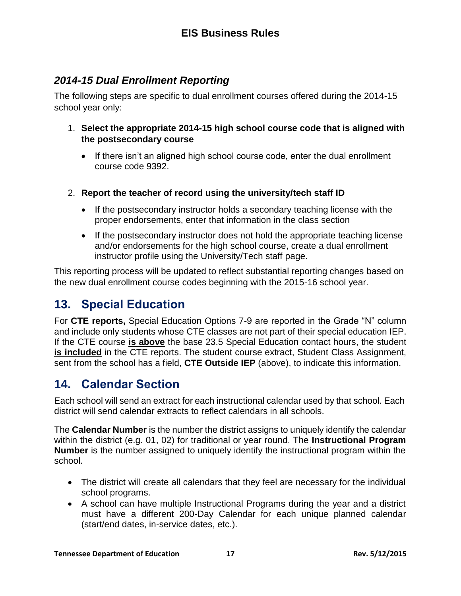#### <span id="page-16-0"></span>*2014-15 Dual Enrollment Reporting*

The following steps are specific to dual enrollment courses offered during the 2014-15 school year only:

- 1. **Select the appropriate 2014-15 high school course code that is aligned with the postsecondary course**
	- If there isn't an aligned high school course code, enter the dual enrollment course code 9392.
- 2. **Report the teacher of record using the university/tech staff ID**
	- If the postsecondary instructor holds a secondary teaching license with the proper endorsements, enter that information in the class section
	- If the postsecondary instructor does not hold the appropriate teaching license and/or endorsements for the high school course, create a dual enrollment instructor profile using the University/Tech staff page.

This reporting process will be updated to reflect substantial reporting changes based on the new dual enrollment course codes beginning with the 2015-16 school year.

# <span id="page-16-1"></span>**13. Special Education**

For **CTE reports,** Special Education Options 7-9 are reported in the Grade "N" column and include only students whose CTE classes are not part of their special education IEP. If the CTE course **is above** the base 23.5 Special Education contact hours, the student **is included** in the CTE reports. The student course extract, Student Class Assignment, sent from the school has a field, **CTE Outside IEP** (above), to indicate this information.

# <span id="page-16-2"></span>**14. Calendar Section**

Each school will send an extract for each instructional calendar used by that school. Each district will send calendar extracts to reflect calendars in all schools.

The **Calendar Number** is the number the district assigns to uniquely identify the calendar within the district (e.g. 01, 02) for traditional or year round. The **Instructional Program Number** is the number assigned to uniquely identify the instructional program within the school.

- The district will create all calendars that they feel are necessary for the individual school programs.
- A school can have multiple Instructional Programs during the year and a district must have a different 200-Day Calendar for each unique planned calendar (start/end dates, in-service dates, etc.).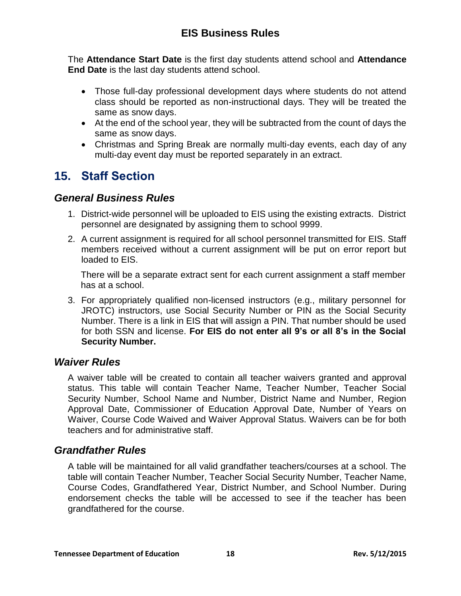The **Attendance Start Date** is the first day students attend school and **Attendance End Date** is the last day students attend school.

- Those full-day professional development days where students do not attend class should be reported as non-instructional days. They will be treated the same as snow days.
- At the end of the school year, they will be subtracted from the count of days the same as snow days.
- Christmas and Spring Break are normally multi-day events, each day of any multi-day event day must be reported separately in an extract.

# <span id="page-17-0"></span>**15. Staff Section**

#### <span id="page-17-1"></span>*General Business Rules*

- 1. District-wide personnel will be uploaded to EIS using the existing extracts. District personnel are designated by assigning them to school 9999.
- 2. A current assignment is required for all school personnel transmitted for EIS. Staff members received without a current assignment will be put on error report but loaded to EIS.

There will be a separate extract sent for each current assignment a staff member has at a school.

3. For appropriately qualified non-licensed instructors (e.g., military personnel for JROTC) instructors, use Social Security Number or PIN as the Social Security Number. There is a link in EIS that will assign a PIN. That number should be used for both SSN and license. **For EIS do not enter all 9's or all 8's in the Social Security Number.**

#### <span id="page-17-2"></span>*Waiver Rules*

A waiver table will be created to contain all teacher waivers granted and approval status. This table will contain Teacher Name, Teacher Number, Teacher Social Security Number, School Name and Number, District Name and Number, Region Approval Date, Commissioner of Education Approval Date, Number of Years on Waiver, Course Code Waived and Waiver Approval Status. Waivers can be for both teachers and for administrative staff.

#### <span id="page-17-3"></span>*Grandfather Rules*

A table will be maintained for all valid grandfather teachers/courses at a school. The table will contain Teacher Number, Teacher Social Security Number, Teacher Name, Course Codes, Grandfathered Year, District Number, and School Number. During endorsement checks the table will be accessed to see if the teacher has been grandfathered for the course.